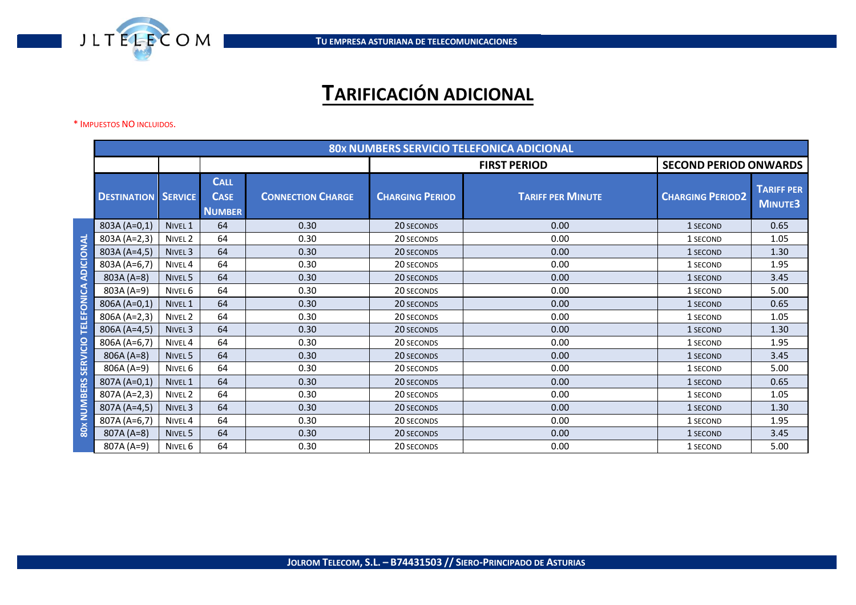

## **TARIFICACIÓN ADICIONAL**

## \* IMPUESTOS NO INCLUIDOS.

|                                                    | <b>80x NUMBERS SERVICIO TELEFONICA ADICIONAL</b> |                    |                                             |                          |                        |                          |                              |                                     |  |
|----------------------------------------------------|--------------------------------------------------|--------------------|---------------------------------------------|--------------------------|------------------------|--------------------------|------------------------------|-------------------------------------|--|
|                                                    |                                                  |                    |                                             |                          |                        | <b>FIRST PERIOD</b>      | <b>SECOND PERIOD ONWARDS</b> |                                     |  |
|                                                    | <b>DESTINATION SERVICE</b>                       |                    | <b>CALL</b><br><b>CASE</b><br><b>NUMBER</b> | <b>CONNECTION CHARGE</b> | <b>CHARGING PERIOD</b> | <b>TARIFF PER MINUTE</b> | <b>CHARGING PERIOD2</b>      | <b>TARIFF PER</b><br><b>MINUTE3</b> |  |
| ADICIONAL<br>TELEFONICA<br>SERVICIO<br>80x NUMBERS | 803A (A=0,1)                                     | NIVEL <sub>1</sub> | 64                                          | 0.30                     | 20 SECONDS             | 0.00                     | 1 SECOND                     | 0.65                                |  |
|                                                    | 803A (A=2,3)                                     | NIVEL <sub>2</sub> | 64                                          | 0.30                     | 20 SECONDS             | 0.00                     | 1 SECOND                     | 1.05                                |  |
|                                                    | 803A (A=4,5)                                     | NIVEL <sub>3</sub> | 64                                          | 0.30                     | 20 SECONDS             | 0.00                     | 1 SECOND                     | 1.30                                |  |
|                                                    | 803A (A=6,7)                                     | NIVEL <sub>4</sub> | 64                                          | 0.30                     | 20 SECONDS             | 0.00                     | 1 SECOND                     | 1.95                                |  |
|                                                    | 803A (A=8)                                       | NIVEL <sub>5</sub> | 64                                          | 0.30                     | 20 SECONDS             | 0.00                     | 1 SECOND                     | 3.45                                |  |
|                                                    | 803A (A=9)                                       | NIVEL 6            | 64                                          | 0.30                     | 20 SECONDS             | 0.00                     | 1 SECOND                     | 5.00                                |  |
|                                                    | 806A (A=0,1)                                     | NIVEL <sub>1</sub> | 64                                          | 0.30                     | 20 SECONDS             | 0.00                     | 1 SECOND                     | 0.65                                |  |
|                                                    | 806A (A=2,3)                                     | NIVEL <sub>2</sub> | 64                                          | 0.30                     | 20 SECONDS             | 0.00                     | 1 SECOND                     | 1.05                                |  |
|                                                    | 806A (A=4,5)                                     | NIVEL <sub>3</sub> | 64                                          | 0.30                     | 20 SECONDS             | 0.00                     | 1 SECOND                     | 1.30                                |  |
|                                                    | 806A (A=6,7)                                     | NIVEL <sub>4</sub> | 64                                          | 0.30                     | 20 SECONDS             | 0.00                     | 1 SECOND                     | 1.95                                |  |
|                                                    | 806A (A=8)                                       | NIVEL <sub>5</sub> | 64                                          | 0.30                     | 20 SECONDS             | 0.00                     | 1 SECOND                     | 3.45                                |  |
|                                                    | 806A (A=9)                                       | NIVEL 6            | 64                                          | 0.30                     | 20 SECONDS             | 0.00                     | 1 SECOND                     | 5.00                                |  |
|                                                    | 807A (A=0,1)                                     | NIVEL <sub>1</sub> | 64                                          | 0.30                     | 20 SECONDS             | 0.00                     | 1 SECOND                     | 0.65                                |  |
|                                                    | 807A (A=2,3)                                     | NIVEL <sub>2</sub> | 64                                          | 0.30                     | 20 SECONDS             | 0.00                     | 1 SECOND                     | 1.05                                |  |
|                                                    | 807A (A=4,5)                                     | NIVEL <sub>3</sub> | 64                                          | 0.30                     | 20 SECONDS             | 0.00                     | 1 SECOND                     | 1.30                                |  |
|                                                    | 807A (A=6,7)                                     | NIVEL <sub>4</sub> | 64                                          | 0.30                     | 20 SECONDS             | 0.00                     | 1 SECOND                     | 1.95                                |  |
|                                                    | 807A (A=8)                                       | NIVEL 5            | 64                                          | 0.30                     | 20 SECONDS             | 0.00                     | 1 SECOND                     | 3.45                                |  |
|                                                    | 807A (A=9)                                       | NIVEL 6            | 64                                          | 0.30                     | 20 SECONDS             | 0.00                     | 1 SECOND                     | 5.00                                |  |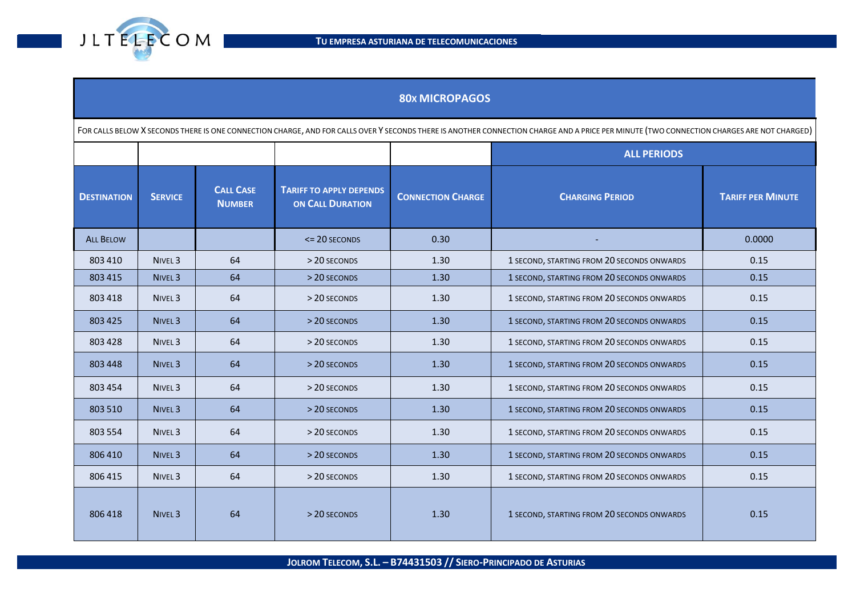

| <b>80x MICROPAGOS</b>                                                                                                                                                                     |                    |                                   |                                                           |                          |                                            |                          |  |
|-------------------------------------------------------------------------------------------------------------------------------------------------------------------------------------------|--------------------|-----------------------------------|-----------------------------------------------------------|--------------------------|--------------------------------------------|--------------------------|--|
| FOR CALLS BELOW X SECONDS THERE IS ONE CONNECTION CHARGE, AND FOR CALLS OVER Y SECONDS THERE IS ANOTHER CONNECTION CHARGE AND A PRICE PER MINUTE (TWO CONNECTION CHARGES ARE NOT CHARGED) |                    |                                   |                                                           |                          |                                            |                          |  |
|                                                                                                                                                                                           |                    |                                   |                                                           |                          | <b>ALL PERIODS</b>                         |                          |  |
| <b>DESTINATION</b>                                                                                                                                                                        | <b>SERVICE</b>     | <b>CALL CASE</b><br><b>NUMBER</b> | <b>TARIFF TO APPLY DEPENDS</b><br><b>ON CALL DURATION</b> | <b>CONNECTION CHARGE</b> | <b>CHARGING PERIOD</b>                     | <b>TARIFF PER MINUTE</b> |  |
| <b>ALL BELOW</b>                                                                                                                                                                          |                    |                                   | $\leq$ 20 SECONDS                                         | 0.30                     |                                            | 0.0000                   |  |
| 803 410                                                                                                                                                                                   | NIVEL <sub>3</sub> | 64                                | > 20 SECONDS                                              | 1.30                     | 1 SECOND, STARTING FROM 20 SECONDS ONWARDS | 0.15                     |  |
| 803 415                                                                                                                                                                                   | NIVEL <sub>3</sub> | 64                                | > 20 SECONDS                                              | 1.30                     | 1 SECOND, STARTING FROM 20 SECONDS ONWARDS | 0.15                     |  |
| 803 418                                                                                                                                                                                   | NIVEL <sub>3</sub> | 64                                | > 20 SECONDS                                              | 1.30                     | 1 SECOND, STARTING FROM 20 SECONDS ONWARDS | 0.15                     |  |
| 803 425                                                                                                                                                                                   | NIVEL <sub>3</sub> | 64                                | > 20 SECONDS                                              | 1.30                     | 1 SECOND, STARTING FROM 20 SECONDS ONWARDS | 0.15                     |  |
| 803 428                                                                                                                                                                                   | NIVEL <sub>3</sub> | 64                                | > 20 SECONDS                                              | 1.30                     | 1 SECOND, STARTING FROM 20 SECONDS ONWARDS | 0.15                     |  |
| 803 448                                                                                                                                                                                   | NIVEL <sub>3</sub> | 64                                | > 20 SECONDS                                              | 1.30                     | 1 SECOND, STARTING FROM 20 SECONDS ONWARDS | 0.15                     |  |
| 803 454                                                                                                                                                                                   | NIVEL <sub>3</sub> | 64                                | > 20 SECONDS                                              | 1.30                     | 1 SECOND, STARTING FROM 20 SECONDS ONWARDS | 0.15                     |  |
| 803 510                                                                                                                                                                                   | NIVEL <sub>3</sub> | 64                                | > 20 SECONDS                                              | 1.30                     | 1 SECOND, STARTING FROM 20 SECONDS ONWARDS | 0.15                     |  |
| 803 554                                                                                                                                                                                   | NIVEL <sub>3</sub> | 64                                | > 20 SECONDS                                              | 1.30                     | 1 SECOND, STARTING FROM 20 SECONDS ONWARDS | 0.15                     |  |
| 806 410                                                                                                                                                                                   | NIVEL <sub>3</sub> | 64                                | > 20 SECONDS                                              | 1.30                     | 1 SECOND, STARTING FROM 20 SECONDS ONWARDS | 0.15                     |  |
| 806 415                                                                                                                                                                                   | NIVEL <sub>3</sub> | 64                                | > 20 SECONDS                                              | 1.30                     | 1 SECOND, STARTING FROM 20 SECONDS ONWARDS | 0.15                     |  |
| 806418                                                                                                                                                                                    | NIVEL <sub>3</sub> | 64                                | > 20 SECONDS                                              | 1.30                     | 1 SECOND, STARTING FROM 20 SECONDS ONWARDS | 0.15                     |  |